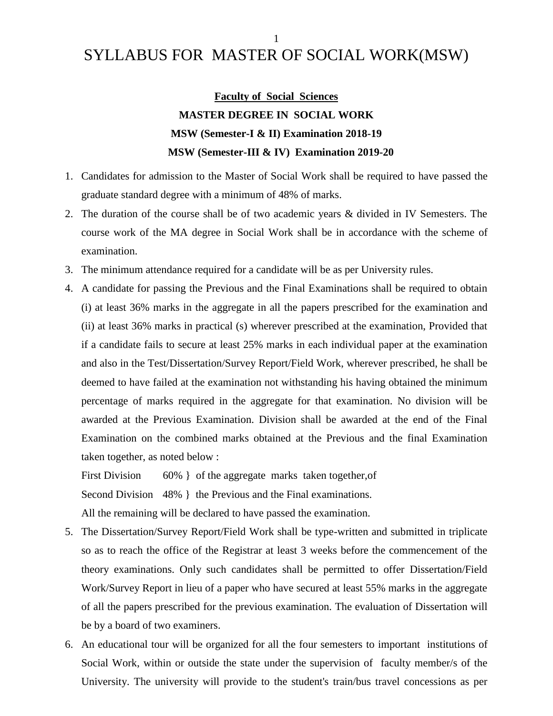# SYLLABUS FOR MASTER OF SOCIAL WORK(MSW)

**Faculty of Social Sciences MASTER DEGREE IN SOCIAL WORK MSW (Semester-I & II) Examination 2018-19 MSW (Semester-III & IV) Examination 2019-20**

- 1. Candidates for admission to the Master of Social Work shall be required to have passed the graduate standard degree with a minimum of 48% of marks.
- 2. The duration of the course shall be of two academic years & divided in IV Semesters. The course work of the MA degree in Social Work shall be in accordance with the scheme of examination.
- 3. The minimum attendance required for a candidate will be as per University rules.
- 4. A candidate for passing the Previous and the Final Examinations shall be required to obtain (i) at least 36% marks in the aggregate in all the papers prescribed for the examination and (ii) at least 36% marks in practical (s) wherever prescribed at the examination, Provided that if a candidate fails to secure at least 25% marks in each individual paper at the examination and also in the Test/Dissertation/Survey Report/Field Work, wherever prescribed, he shall be deemed to have failed at the examination not withstanding his having obtained the minimum percentage of marks required in the aggregate for that examination. No division will be awarded at the Previous Examination. Division shall be awarded at the end of the Final Examination on the combined marks obtained at the Previous and the final Examination taken together, as noted below :

First Division 60% } of the aggregate marks taken together, of Second Division 48% } the Previous and the Final examinations. All the remaining will be declared to have passed the examination.

- 5. The Dissertation/Survey Report/Field Work shall be type-written and submitted in triplicate so as to reach the office of the Registrar at least 3 weeks before the commencement of the theory examinations. Only such candidates shall be permitted to offer Dissertation/Field Work/Survey Report in lieu of a paper who have secured at least 55% marks in the aggregate of all the papers prescribed for the previous examination. The evaluation of Dissertation will be by a board of two examiners.
- 6. An educational tour will be organized for all the four semesters to important institutions of Social Work, within or outside the state under the supervision of faculty member/s of the University. The university will provide to the student's train/bus travel concessions as per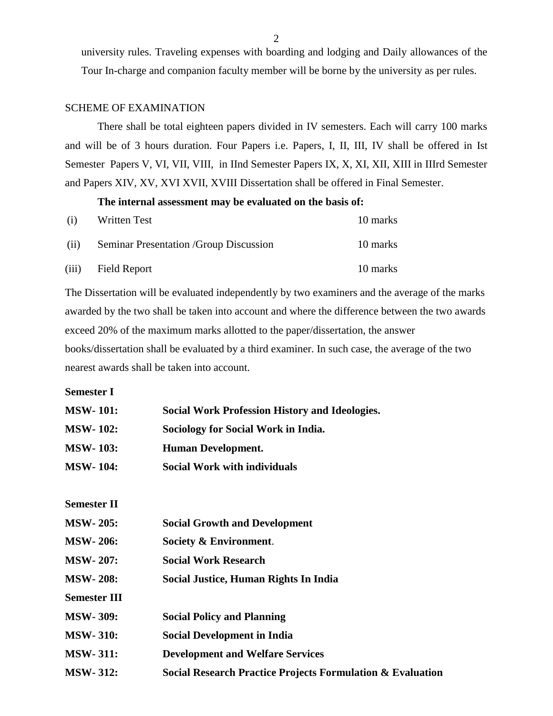university rules. Traveling expenses with boarding and lodging and Daily allowances of the Tour In-charge and companion faculty member will be borne by the university as per rules.

#### SCHEME OF EXAMINATION

There shall be total eighteen papers divided in IV semesters. Each will carry 100 marks and will be of 3 hours duration. Four Papers i.e. Papers, I, II, III, IV shall be offered in Ist Semester Papers V, VI, VII, VIII, in IInd Semester Papers IX, X, XI, XII, XIII in IIIrd Semester and Papers XIV, XV, XVI XVII, XVIII Dissertation shall be offered in Final Semester.

#### **The internal assessment may be evaluated on the basis of:**

| (i)   | Written Test                            | 10 marks |
|-------|-----------------------------------------|----------|
| (ii)  | Seminar Presentation / Group Discussion | 10 marks |
| (iii) | <b>Field Report</b>                     | 10 marks |

The Dissertation will be evaluated independently by two examiners and the average of the marks awarded by the two shall be taken into account and where the difference between the two awards exceed 20% of the maximum marks allotted to the paper/dissertation, the answer books/dissertation shall be evaluated by a third examiner. In such case, the average of the two nearest awards shall be taken into account.

**Semester I**

| <b>MSW-101:</b>     | <b>Social Work Profession History and Ideologies.</b>      |
|---------------------|------------------------------------------------------------|
| <b>MSW-102:</b>     | <b>Sociology for Social Work in India.</b>                 |
| <b>MSW-103:</b>     | <b>Human Development.</b>                                  |
| <b>MSW-104:</b>     | <b>Social Work with individuals</b>                        |
|                     |                                                            |
| <b>Semester II</b>  |                                                            |
| <b>MSW-205:</b>     | <b>Social Growth and Development</b>                       |
| <b>MSW-206:</b>     | Society & Environment.                                     |
| <b>MSW-207:</b>     | <b>Social Work Research</b>                                |
| <b>MSW-208:</b>     | Social Justice, Human Rights In India                      |
| <b>Semester III</b> |                                                            |
| <b>MSW-309:</b>     | <b>Social Policy and Planning</b>                          |
| <b>MSW-310:</b>     | <b>Social Development in India</b>                         |
| <b>MSW-311:</b>     | <b>Development and Welfare Services</b>                    |
| <b>MSW-312:</b>     | Social Research Practice Projects Formulation & Evaluation |
|                     |                                                            |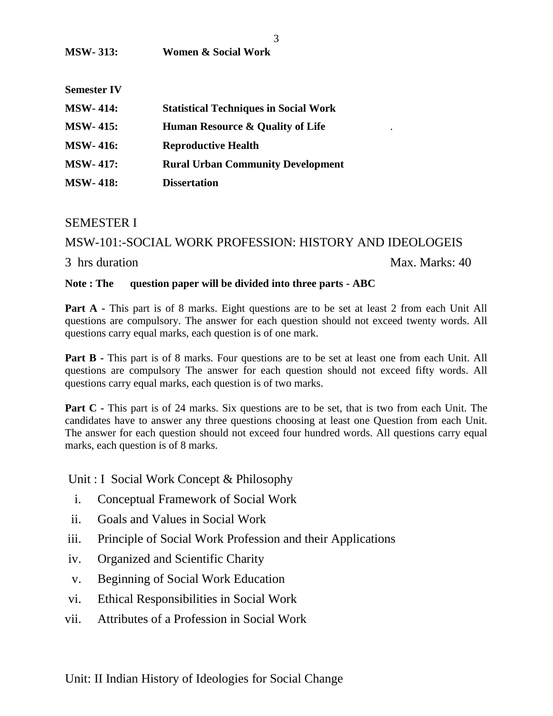| <b>Semester IV</b> |                                              |  |
|--------------------|----------------------------------------------|--|
| <b>MSW-414:</b>    | <b>Statistical Techniques in Social Work</b> |  |
| <b>MSW-415:</b>    | <b>Human Resource &amp; Quality of Life</b>  |  |
| <b>MSW-416:</b>    | <b>Reproductive Health</b>                   |  |
| <b>MSW-417:</b>    | <b>Rural Urban Community Development</b>     |  |
| <b>MSW-418:</b>    | <b>Dissertation</b>                          |  |

#### SEMESTER I

#### MSW-101:-SOCIAL WORK PROFESSION: HISTORY AND IDEOLOGEIS

#### 3 hrs duration Max. Marks: 40

#### **Note : The question paper will be divided into three parts - ABC**

**Part A -** This part is of 8 marks. Eight questions are to be set at least 2 from each Unit All questions are compulsory. The answer for each question should not exceed twenty words. All questions carry equal marks, each question is of one mark.

**Part B** - This part is of 8 marks. Four questions are to be set at least one from each Unit. All questions are compulsory The answer for each question should not exceed fifty words. All questions carry equal marks, each question is of two marks.

**Part C** - This part is of 24 marks. Six questions are to be set, that is two from each Unit. The candidates have to answer any three questions choosing at least one Question from each Unit. The answer for each question should not exceed four hundred words. All questions carry equal marks, each question is of 8 marks.

Unit : I Social Work Concept & Philosophy

- i. Conceptual Framework of Social Work
- ii. Goals and Values in Social Work
- iii. Principle of Social Work Profession and their Applications
- iv. Organized and Scientific Charity
- v. Beginning of Social Work Education
- vi. Ethical Responsibilities in Social Work
- vii. Attributes of a Profession in Social Work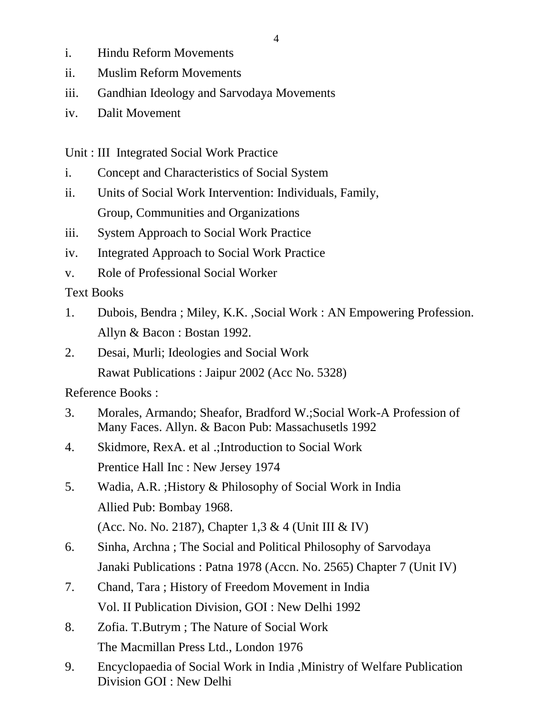- i. Hindu Reform Movements
- ii. Muslim Reform Movements
- iii. Gandhian Ideology and Sarvodaya Movements
- iv. Dalit Movement

Unit : III Integrated Social Work Practice

- i. Concept and Characteristics of Social System
- ii. Units of Social Work Intervention: Individuals, Family, Group, Communities and Organizations
- iii. System Approach to Social Work Practice
- iv. Integrated Approach to Social Work Practice
- v. Role of Professional Social Worker

Text Books

- 1. Dubois, Bendra ; Miley, K.K. ,Social Work : AN Empowering Profession. Allyn & Bacon : Bostan 1992.
- 2. Desai, Murli; Ideologies and Social Work
	- Rawat Publications : Jaipur 2002 (Acc No. 5328)

- 3. Morales, Armando; Sheafor, Bradford W.;Social Work-A Profession of Many Faces. Allyn. & Bacon Pub: Massachusetls 1992
- 4. Skidmore, RexA. et al .;Introduction to Social Work Prentice Hall Inc : New Jersey 1974
- 5. Wadia, A.R. ;History & Philosophy of Social Work in India Allied Pub: Bombay 1968. (Acc. No. No. 2187), Chapter 1,3 & 4 (Unit III & IV)
- 6. Sinha, Archna ; The Social and Political Philosophy of Sarvodaya Janaki Publications : Patna 1978 (Accn. No. 2565) Chapter 7 (Unit IV)
- 7. Chand, Tara ; History of Freedom Movement in India Vol. II Publication Division, GOI : New Delhi 1992
- 8. Zofia. T.Butrym ; The Nature of Social Work The Macmillan Press Ltd., London 1976
- 9. Encyclopaedia of Social Work in India ,Ministry of Welfare Publication Division GOI : New Delhi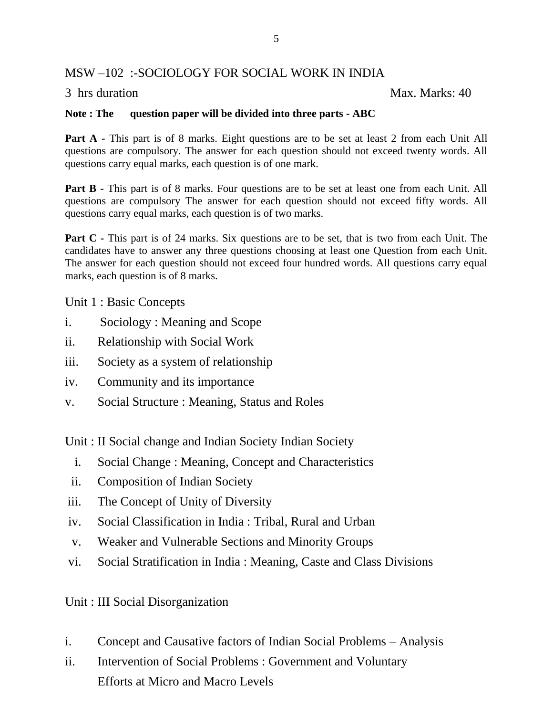#### MSW –102 :-SOCIOLOGY FOR SOCIAL WORK IN INDIA

3 hrs duration Max. Marks: 40

#### **Note : The question paper will be divided into three parts - ABC**

**Part A** - This part is of 8 marks. Eight questions are to be set at least 2 from each Unit All questions are compulsory. The answer for each question should not exceed twenty words. All questions carry equal marks, each question is of one mark.

**Part B -** This part is of 8 marks. Four questions are to be set at least one from each Unit. All questions are compulsory The answer for each question should not exceed fifty words. All questions carry equal marks, each question is of two marks.

**Part C** - This part is of 24 marks. Six questions are to be set, that is two from each Unit. The candidates have to answer any three questions choosing at least one Question from each Unit. The answer for each question should not exceed four hundred words. All questions carry equal marks, each question is of 8 marks.

Unit 1 : Basic Concepts

- i. Sociology : Meaning and Scope
- ii. Relationship with Social Work
- iii. Society as a system of relationship
- iv. Community and its importance
- v. Social Structure : Meaning, Status and Roles

Unit : II Social change and Indian Society Indian Society

- i. Social Change : Meaning, Concept and Characteristics
- ii. Composition of Indian Society
- iii. The Concept of Unity of Diversity
- iv. Social Classification in India : Tribal, Rural and Urban
- v. Weaker and Vulnerable Sections and Minority Groups
- vi. Social Stratification in India : Meaning, Caste and Class Divisions

Unit : III Social Disorganization

- i. Concept and Causative factors of Indian Social Problems Analysis
- ii. Intervention of Social Problems : Government and Voluntary Efforts at Micro and Macro Levels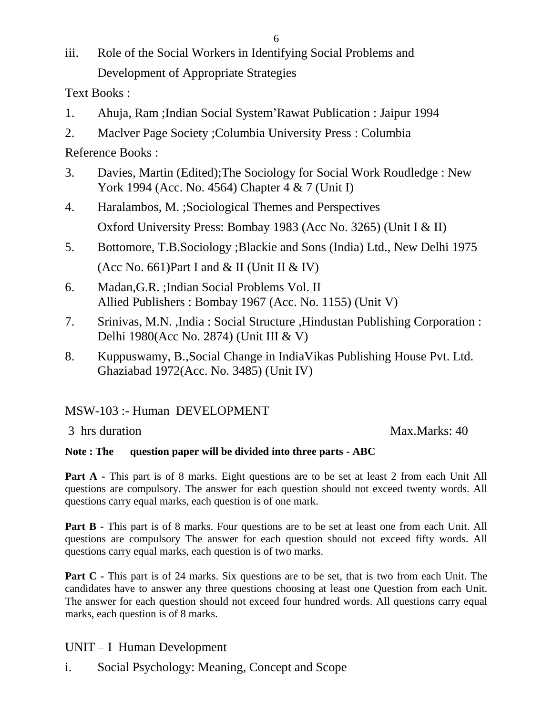iii. Role of the Social Workers in Identifying Social Problems and Development of Appropriate Strategies

Text Books :

- 1. Ahuja, Ram ;Indian Social System'Rawat Publication : Jaipur 1994
- 2. Maclver Page Society ;Columbia University Press : Columbia

Reference Books :

- 3. Davies, Martin (Edited);The Sociology for Social Work Roudledge : New York 1994 (Acc. No. 4564) Chapter 4 & 7 (Unit I)
- 4. Haralambos, M. ;Sociological Themes and Perspectives Oxford University Press: Bombay 1983 (Acc No. 3265) (Unit I & II)
- 5. Bottomore, T.B.Sociology ;Blackie and Sons (India) Ltd., New Delhi 1975 (Acc No. 661)Part I and  $&$  II (Unit II  $&$  IV)
- 6. Madan,G.R. ;Indian Social Problems Vol. II Allied Publishers : Bombay 1967 (Acc. No. 1155) (Unit V)
- 7. Srinivas, M.N. ,India : Social Structure ,Hindustan Publishing Corporation : Delhi 1980(Acc No. 2874) (Unit III & V)
- 8. Kuppuswamy, B.,Social Change in IndiaVikas Publishing House Pvt. Ltd. Ghaziabad 1972(Acc. No. 3485) (Unit IV)

MSW-103 :- Human DEVELOPMENT

3 hrs duration Max.Marks: 40

#### **Note : The question paper will be divided into three parts - ABC**

**Part A -** This part is of 8 marks. Eight questions are to be set at least 2 from each Unit All questions are compulsory. The answer for each question should not exceed twenty words. All questions carry equal marks, each question is of one mark.

**Part B** - This part is of 8 marks. Four questions are to be set at least one from each Unit. All questions are compulsory The answer for each question should not exceed fifty words. All questions carry equal marks, each question is of two marks.

**Part C** - This part is of 24 marks. Six questions are to be set, that is two from each Unit. The candidates have to answer any three questions choosing at least one Question from each Unit. The answer for each question should not exceed four hundred words. All questions carry equal marks, each question is of 8 marks.

## UNIT – I Human Development

i. Social Psychology: Meaning, Concept and Scope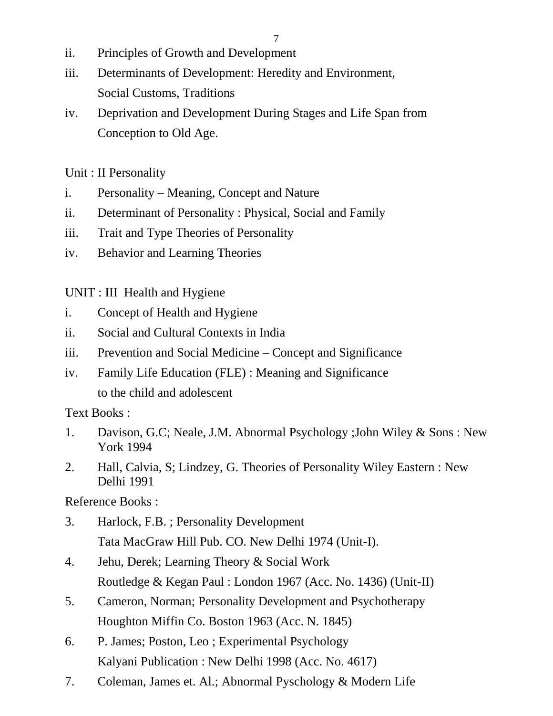- 7
- ii. Principles of Growth and Development
- iii. Determinants of Development: Heredity and Environment, Social Customs, Traditions
- iv. Deprivation and Development During Stages and Life Span from Conception to Old Age.

Unit : II Personality

- i. Personality Meaning, Concept and Nature
- ii. Determinant of Personality : Physical, Social and Family
- iii. Trait and Type Theories of Personality
- iv. Behavior and Learning Theories

UNIT : III Health and Hygiene

- i. Concept of Health and Hygiene
- ii. Social and Cultural Contexts in India
- iii. Prevention and Social Medicine Concept and Significance
- iv. Family Life Education (FLE) : Meaning and Significance to the child and adolescent

Text Books :

- 1. Davison, G.C; Neale, J.M. Abnormal Psychology ;John Wiley & Sons : New York 1994
- 2. Hall, Calvia, S; Lindzey, G. Theories of Personality Wiley Eastern : New Delhi 1991

- 3. Harlock, F.B. ; Personality Development Tata MacGraw Hill Pub. CO. New Delhi 1974 (Unit-I).
- 4. Jehu, Derek; Learning Theory & Social Work Routledge & Kegan Paul : London 1967 (Acc. No. 1436) (Unit-II)
- 5. Cameron, Norman; Personality Development and Psychotherapy Houghton Miffin Co. Boston 1963 (Acc. N. 1845)
- 6. P. James; Poston, Leo ; Experimental Psychology Kalyani Publication : New Delhi 1998 (Acc. No. 4617)
- 7. Coleman, James et. Al.; Abnormal Pyschology & Modern Life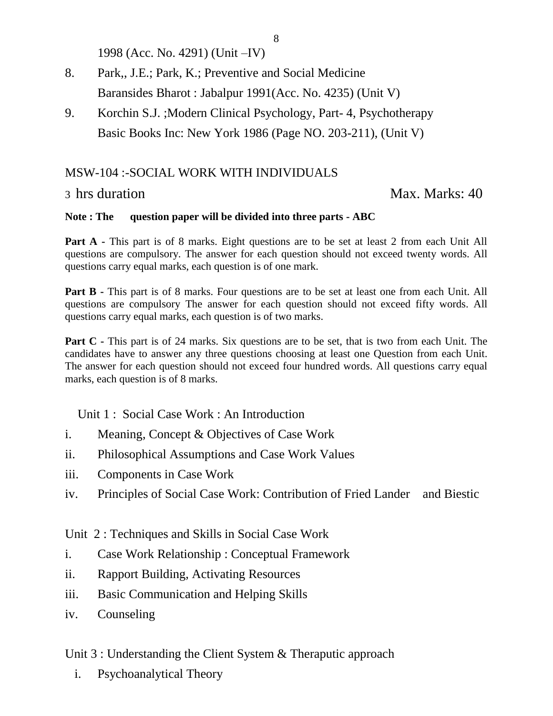1998 (Acc. No. 4291) (Unit –IV)

- 8. Park,, J.E.; Park, K.; Preventive and Social Medicine Baransides Bharot : Jabalpur 1991(Acc. No. 4235) (Unit V)
- 9. Korchin S.J. ;Modern Clinical Psychology, Part- 4, Psychotherapy Basic Books Inc: New York 1986 (Page NO. 203-211), (Unit V)

#### MSW-104 :-SOCIAL WORK WITH INDIVIDUALS

#### 3 hrs duration Max. Marks: 40

#### **Note : The question paper will be divided into three parts - ABC**

**Part A -** This part is of 8 marks. Eight questions are to be set at least 2 from each Unit All questions are compulsory. The answer for each question should not exceed twenty words. All questions carry equal marks, each question is of one mark.

**Part B** - This part is of 8 marks. Four questions are to be set at least one from each Unit. All questions are compulsory The answer for each question should not exceed fifty words. All questions carry equal marks, each question is of two marks.

**Part C** - This part is of 24 marks. Six questions are to be set, that is two from each Unit. The candidates have to answer any three questions choosing at least one Question from each Unit. The answer for each question should not exceed four hundred words. All questions carry equal marks, each question is of 8 marks.

Unit 1 : Social Case Work : An Introduction

- i. Meaning, Concept & Objectives of Case Work
- ii. Philosophical Assumptions and Case Work Values
- iii. Components in Case Work
- iv. Principles of Social Case Work: Contribution of Fried Lander and Biestic

Unit 2 : Techniques and Skills in Social Case Work

- i. Case Work Relationship : Conceptual Framework
- ii. Rapport Building, Activating Resources
- iii. Basic Communication and Helping Skills
- iv. Counseling

Unit 3 : Understanding the Client System & Theraputic approach

i. Psychoanalytical Theory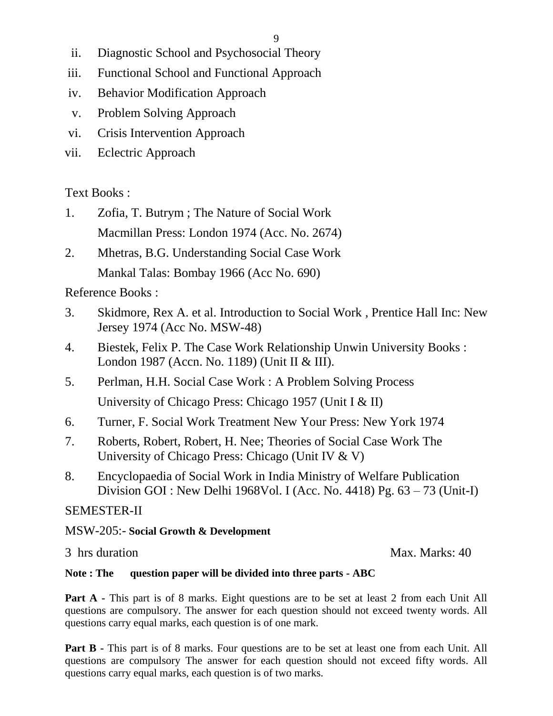- ii. Diagnostic School and Psychosocial Theory
- iii. Functional School and Functional Approach
- iv. Behavior Modification Approach
- v. Problem Solving Approach
- vi. Crisis Intervention Approach
- vii. Eclectric Approach

## Text Books :

- 1. Zofia, T. Butrym ; The Nature of Social Work Macmillan Press: London 1974 (Acc. No. 2674)
- 2. Mhetras, B.G. Understanding Social Case Work Mankal Talas: Bombay 1966 (Acc No. 690)

Reference Books :

- 3. Skidmore, Rex A. et al. Introduction to Social Work , Prentice Hall Inc: New Jersey 1974 (Acc No. MSW-48)
- 4. Biestek, Felix P. The Case Work Relationship Unwin University Books : London 1987 (Accn. No. 1189) (Unit II & III).
- 5. Perlman, H.H. Social Case Work : A Problem Solving Process University of Chicago Press: Chicago 1957 (Unit I & II)
- 6. Turner, F. Social Work Treatment New Your Press: New York 1974
- 7. Roberts, Robert, Robert, H. Nee; Theories of Social Case Work The University of Chicago Press: Chicago (Unit IV & V)
- 8. Encyclopaedia of Social Work in India Ministry of Welfare Publication Division GOI : New Delhi 1968Vol. I (Acc. No. 4418) Pg. 63 – 73 (Unit-I)

## SEMESTER-II

#### MSW-205:- **Social Growth & Development**

3 hrs duration Max. Marks: 40

#### **Note : The question paper will be divided into three parts - ABC**

**Part A -** This part is of 8 marks. Eight questions are to be set at least 2 from each Unit All questions are compulsory. The answer for each question should not exceed twenty words. All questions carry equal marks, each question is of one mark.

**Part B** - This part is of 8 marks. Four questions are to be set at least one from each Unit. All questions are compulsory The answer for each question should not exceed fifty words. All questions carry equal marks, each question is of two marks.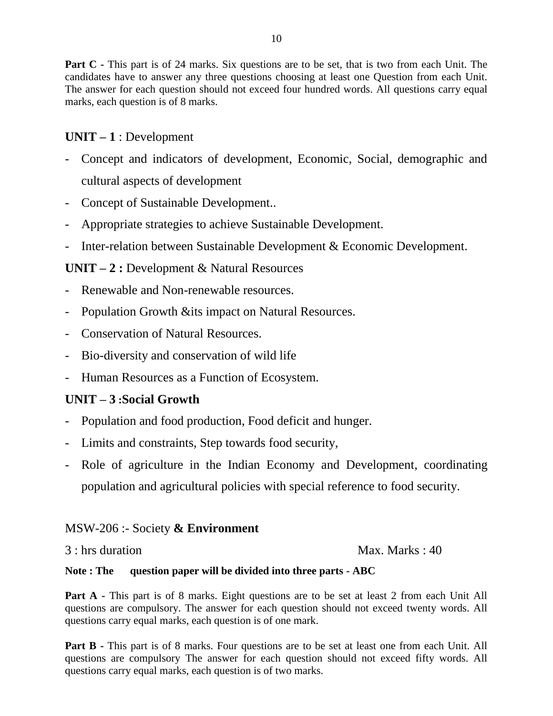**Part C** - This part is of 24 marks. Six questions are to be set, that is two from each Unit. The candidates have to answer any three questions choosing at least one Question from each Unit. The answer for each question should not exceed four hundred words. All questions carry equal marks, each question is of 8 marks.

#### **UNIT – 1** : Development

- Concept and indicators of development, Economic, Social, demographic and cultural aspects of development
- Concept of Sustainable Development...
- Appropriate strategies to achieve Sustainable Development.
- Inter-relation between Sustainable Development & Economic Development.

#### **UNIT – 2 :** Development & Natural Resources

- Renewable and Non-renewable resources.
- Population Growth &its impact on Natural Resources.
- Conservation of Natural Resources.
- Bio-diversity and conservation of wild life
- Human Resources as a Function of Ecosystem.

#### **UNIT – 3 :Social Growth**

- Population and food production, Food deficit and hunger.
- Limits and constraints, Step towards food security,
- Role of agriculture in the Indian Economy and Development, coordinating population and agricultural policies with special reference to food security.

#### MSW-206 :- Society **& Environment**

3 : hrs duration Max. Marks : 40

#### **Note : The question paper will be divided into three parts - ABC**

**Part A -** This part is of 8 marks. Eight questions are to be set at least 2 from each Unit All questions are compulsory. The answer for each question should not exceed twenty words. All questions carry equal marks, each question is of one mark.

**Part B -** This part is of 8 marks. Four questions are to be set at least one from each Unit. All questions are compulsory The answer for each question should not exceed fifty words. All questions carry equal marks, each question is of two marks.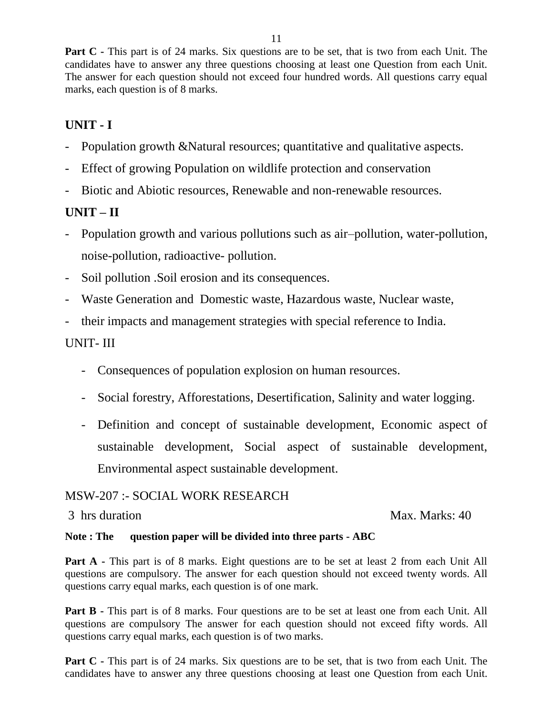**Part C** - This part is of 24 marks. Six questions are to be set, that is two from each Unit. The candidates have to answer any three questions choosing at least one Question from each Unit. The answer for each question should not exceed four hundred words. All questions carry equal marks, each question is of 8 marks.

# **UNIT - I**

- Population growth &Natural resources; quantitative and qualitative aspects.
- Effect of growing Population on wildlife protection and conservation
- Biotic and Abiotic resources, Renewable and non-renewable resources.

## **UNIT – II**

- Population growth and various pollutions such as air–pollution, water-pollution, noise-pollution, radioactive- pollution.
- Soil pollution .Soil erosion and its consequences.
- Waste Generation and Domestic waste, Hazardous waste, Nuclear waste,
- their impacts and management strategies with special reference to India.

#### UNIT- III

- Consequences of population explosion on human resources.
- Social forestry, Afforestations, Desertification, Salinity and water logging.
- Definition and concept of sustainable development, Economic aspect of sustainable development, Social aspect of sustainable development, Environmental aspect sustainable development.

#### MSW-207 :- SOCIAL WORK RESEARCH

#### 3 hrs duration Max. Marks: 40

#### **Note : The question paper will be divided into three parts - ABC**

**Part A -** This part is of 8 marks. Eight questions are to be set at least 2 from each Unit All questions are compulsory. The answer for each question should not exceed twenty words. All questions carry equal marks, each question is of one mark.

**Part B** - This part is of 8 marks. Four questions are to be set at least one from each Unit. All questions are compulsory The answer for each question should not exceed fifty words. All questions carry equal marks, each question is of two marks.

**Part C** - This part is of 24 marks. Six questions are to be set, that is two from each Unit. The candidates have to answer any three questions choosing at least one Question from each Unit.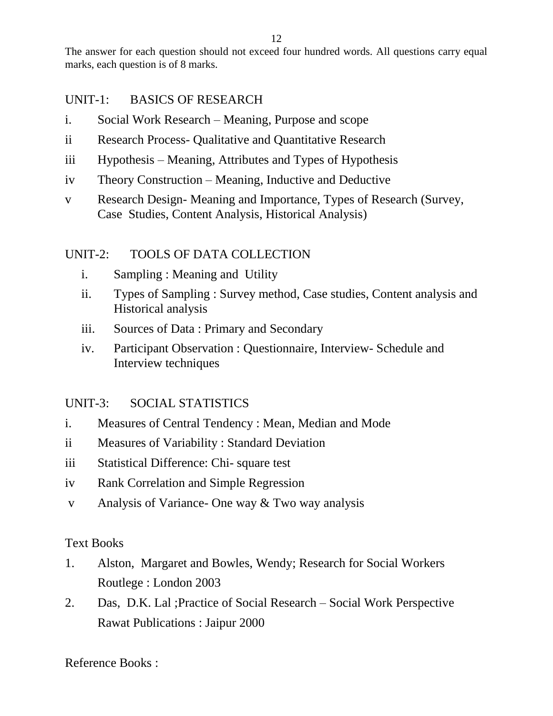The answer for each question should not exceed four hundred words. All questions carry equal marks, each question is of 8 marks.

## UNIT-1: BASICS OF RESEARCH

- i. Social Work Research Meaning, Purpose and scope
- ii Research Process- Qualitative and Quantitative Research
- iii Hypothesis Meaning, Attributes and Types of Hypothesis
- iv Theory Construction Meaning, Inductive and Deductive
- v Research Design- Meaning and Importance, Types of Research (Survey, Case Studies, Content Analysis, Historical Analysis)

## UNIT-2: TOOLS OF DATA COLLECTION

- i. Sampling : Meaning and Utility
- ii. Types of Sampling : Survey method, Case studies, Content analysis and Historical analysis
- iii. Sources of Data : Primary and Secondary
- iv. Participant Observation : Questionnaire, Interview- Schedule and Interview techniques

## UNIT-3: SOCIAL STATISTICS

- i. Measures of Central Tendency : Mean, Median and Mode
- ii Measures of Variability : Standard Deviation
- iii Statistical Difference: Chi- square test
- iv Rank Correlation and Simple Regression
- v Analysis of Variance- One way & Two way analysis

## Text Books

- 1. Alston, Margaret and Bowles, Wendy; Research for Social Workers Routlege : London 2003
- 2. Das, D.K. Lal ;Practice of Social Research Social Work Perspective Rawat Publications : Jaipur 2000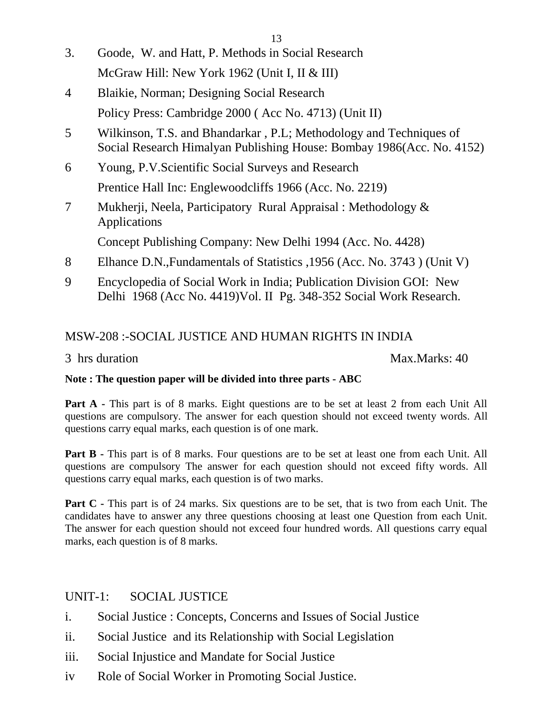- 13
- 3. Goode, W. and Hatt, P. Methods in Social Research McGraw Hill: New York 1962 (Unit I, II & III)
- 4 Blaikie, Norman; Designing Social Research Policy Press: Cambridge 2000 ( Acc No. 4713) (Unit II)
- 5 Wilkinson, T.S. and Bhandarkar , P.L; Methodology and Techniques of Social Research Himalyan Publishing House: Bombay 1986(Acc. No. 4152)
- 6 Young, P.V.Scientific Social Surveys and Research Prentice Hall Inc: Englewoodcliffs 1966 (Acc. No. 2219)
- 7 Mukherji, Neela, Participatory Rural Appraisal : Methodology & Applications

Concept Publishing Company: New Delhi 1994 (Acc. No. 4428)

- 8 Elhance D.N.,Fundamentals of Statistics ,1956 (Acc. No. 3743 ) (Unit V)
- 9 Encyclopedia of Social Work in India; Publication Division GOI: New Delhi 1968 (Acc No. 4419)Vol. II Pg. 348-352 Social Work Research.

# MSW-208 :-SOCIAL JUSTICE AND HUMAN RIGHTS IN INDIA

3 hrs duration Max.Marks: 40

#### **Note : The question paper will be divided into three parts - ABC**

**Part A -** This part is of 8 marks. Eight questions are to be set at least 2 from each Unit All questions are compulsory. The answer for each question should not exceed twenty words. All questions carry equal marks, each question is of one mark.

**Part B** - This part is of 8 marks. Four questions are to be set at least one from each Unit. All questions are compulsory The answer for each question should not exceed fifty words. All questions carry equal marks, each question is of two marks.

**Part C** - This part is of 24 marks. Six questions are to be set, that is two from each Unit. The candidates have to answer any three questions choosing at least one Question from each Unit. The answer for each question should not exceed four hundred words. All questions carry equal marks, each question is of 8 marks.

## UNIT-1: SOCIAL JUSTICE

- i. Social Justice : Concepts, Concerns and Issues of Social Justice
- ii. Social Justice and its Relationship with Social Legislation
- iii. Social Injustice and Mandate for Social Justice
- iv Role of Social Worker in Promoting Social Justice.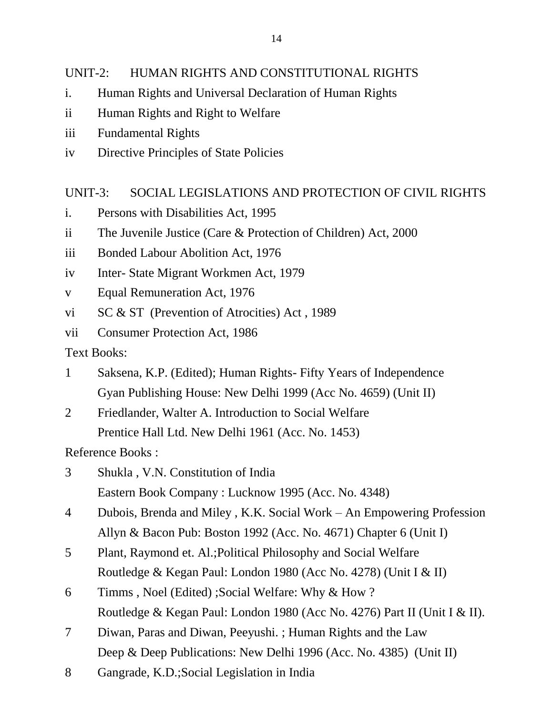## UNIT-2: HUMAN RIGHTS AND CONSTITUTIONAL RIGHTS

- i. Human Rights and Universal Declaration of Human Rights
- ii Human Rights and Right to Welfare
- iii Fundamental Rights
- iv Directive Principles of State Policies

## UNIT-3: SOCIAL LEGISLATIONS AND PROTECTION OF CIVIL RIGHTS

- i. Persons with Disabilities Act, 1995
- ii The Juvenile Justice (Care & Protection of Children) Act, 2000
- iii Bonded Labour Abolition Act, 1976
- iv Inter- State Migrant Workmen Act, 1979
- v Equal Remuneration Act, 1976
- vi SC & ST (Prevention of Atrocities) Act , 1989
- vii Consumer Protection Act, 1986

Text Books:

- 1 Saksena, K.P. (Edited); Human Rights- Fifty Years of Independence Gyan Publishing House: New Delhi 1999 (Acc No. 4659) (Unit II)
- 2 Friedlander, Walter A. Introduction to Social Welfare Prentice Hall Ltd. New Delhi 1961 (Acc. No. 1453)

- 3 Shukla , V.N. Constitution of India Eastern Book Company : Lucknow 1995 (Acc. No. 4348)
- 4 Dubois, Brenda and Miley , K.K. Social Work An Empowering Profession Allyn & Bacon Pub: Boston 1992 (Acc. No. 4671) Chapter 6 (Unit I)
- 5 Plant, Raymond et. Al.;Political Philosophy and Social Welfare Routledge & Kegan Paul: London 1980 (Acc No. 4278) (Unit I & II)
- 6 Timms , Noel (Edited) ;Social Welfare: Why & How ? Routledge & Kegan Paul: London 1980 (Acc No. 4276) Part II (Unit I & II).
- 7 Diwan, Paras and Diwan, Peeyushi. ; Human Rights and the Law Deep & Deep Publications: New Delhi 1996 (Acc. No. 4385) (Unit II)
- 8 Gangrade, K.D.;Social Legislation in India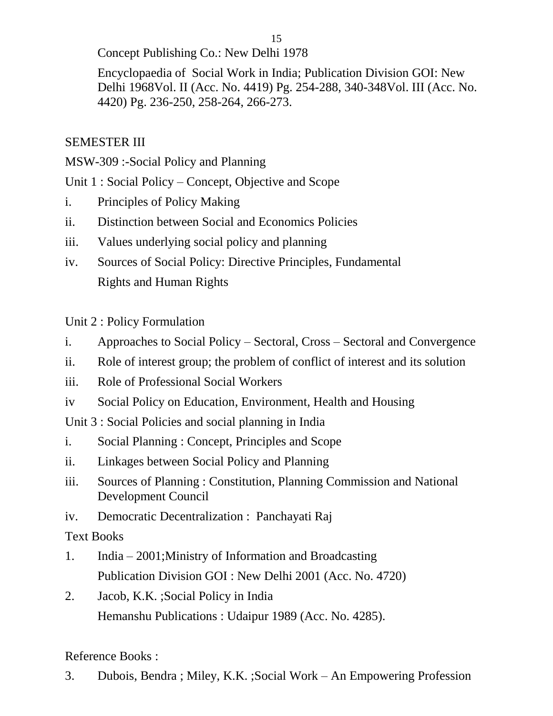Concept Publishing Co.: New Delhi 1978

Encyclopaedia of Social Work in India; Publication Division GOI: New Delhi 1968Vol. II (Acc. No. 4419) Pg. 254-288, 340-348Vol. III (Acc. No. 4420) Pg. 236-250, 258-264, 266-273.

# SEMESTER III

MSW-309 :-Social Policy and Planning

Unit 1 : Social Policy – Concept, Objective and Scope

- i. Principles of Policy Making
- ii. Distinction between Social and Economics Policies
- iii. Values underlying social policy and planning
- iv. Sources of Social Policy: Directive Principles, Fundamental Rights and Human Rights

Unit 2 : Policy Formulation

- i. Approaches to Social Policy Sectoral, Cross Sectoral and Convergence
- ii. Role of interest group; the problem of conflict of interest and its solution
- iii. Role of Professional Social Workers
- iv Social Policy on Education, Environment, Health and Housing
- Unit 3 : Social Policies and social planning in India
- i. Social Planning : Concept, Principles and Scope
- ii. Linkages between Social Policy and Planning
- iii. Sources of Planning : Constitution, Planning Commission and National Development Council
- iv. Democratic Decentralization : Panchayati Raj

Text Books

- 1. India 2001;Ministry of Information and Broadcasting Publication Division GOI : New Delhi 2001 (Acc. No. 4720)
- 2. Jacob, K.K. ;Social Policy in India Hemanshu Publications : Udaipur 1989 (Acc. No. 4285).

Reference Books :

3. Dubois, Bendra ; Miley, K.K. ;Social Work – An Empowering Profession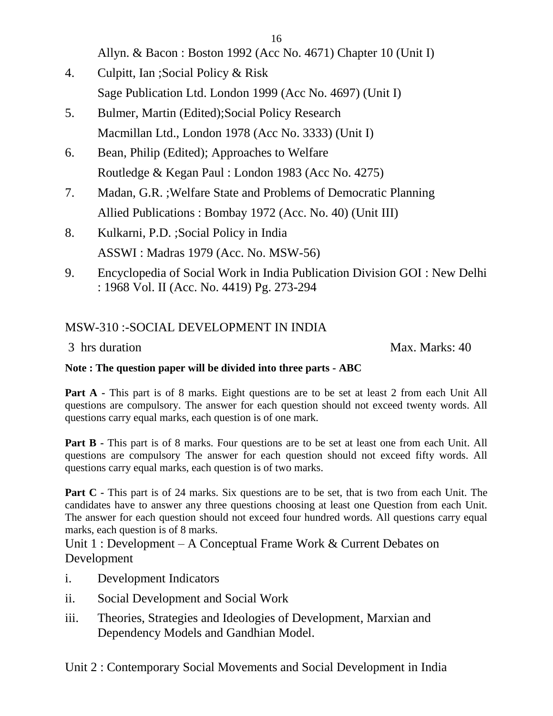Allyn. & Bacon : Boston 1992 (Acc No. 4671) Chapter 10 (Unit I)

- 4. Culpitt, Ian ;Social Policy & Risk Sage Publication Ltd. London 1999 (Acc No. 4697) (Unit I)
- 5. Bulmer, Martin (Edited);Social Policy Research Macmillan Ltd., London 1978 (Acc No. 3333) (Unit I)
- 6. Bean, Philip (Edited); Approaches to Welfare Routledge & Kegan Paul : London 1983 (Acc No. 4275)
- 7. Madan, G.R. ;Welfare State and Problems of Democratic Planning Allied Publications : Bombay 1972 (Acc. No. 40) (Unit III)
- 8. Kulkarni, P.D. ;Social Policy in India ASSWI : Madras 1979 (Acc. No. MSW-56)
- 9. Encyclopedia of Social Work in India Publication Division GOI : New Delhi : 1968 Vol. II (Acc. No. 4419) Pg. 273-294

# MSW-310 :-SOCIAL DEVELOPMENT IN INDIA

3 hrs duration Max. Marks: 40

#### **Note : The question paper will be divided into three parts - ABC**

Part A - This part is of 8 marks. Eight questions are to be set at least 2 from each Unit All questions are compulsory. The answer for each question should not exceed twenty words. All questions carry equal marks, each question is of one mark.

**Part B** - This part is of 8 marks. Four questions are to be set at least one from each Unit. All questions are compulsory The answer for each question should not exceed fifty words. All questions carry equal marks, each question is of two marks.

**Part C** - This part is of 24 marks. Six questions are to be set, that is two from each Unit. The candidates have to answer any three questions choosing at least one Question from each Unit. The answer for each question should not exceed four hundred words. All questions carry equal marks, each question is of 8 marks.

Unit 1 : Development – A Conceptual Frame Work & Current Debates on Development

- i. Development Indicators
- ii. Social Development and Social Work
- iii. Theories, Strategies and Ideologies of Development, Marxian and Dependency Models and Gandhian Model.

Unit 2 : Contemporary Social Movements and Social Development in India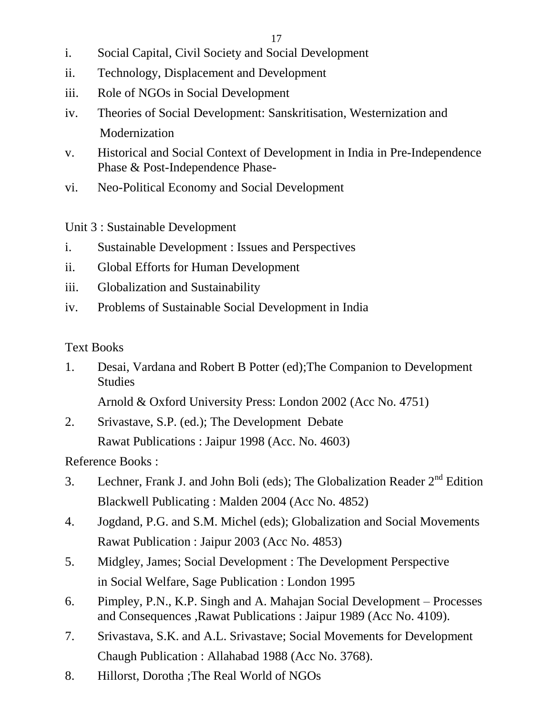- i. Social Capital, Civil Society and Social Development
- ii. Technology, Displacement and Development
- iii. Role of NGOs in Social Development
- iv. Theories of Social Development: Sanskritisation, Westernization and **Modernization**
- v. Historical and Social Context of Development in India in Pre-Independence Phase & Post-Independence Phase-
- vi. Neo-Political Economy and Social Development

Unit 3 : Sustainable Development

- i. Sustainable Development : Issues and Perspectives
- ii. Global Efforts for Human Development
- iii. Globalization and Sustainability
- iv. Problems of Sustainable Social Development in India

# Text Books

1. Desai, Vardana and Robert B Potter (ed);The Companion to Development **Studies** 

Arnold & Oxford University Press: London 2002 (Acc No. 4751)

2. Srivastave, S.P. (ed.); The Development Debate Rawat Publications : Jaipur 1998 (Acc. No. 4603)

- 3. Lechner, Frank J. and John Boli (eds); The Globalization Reader  $2<sup>nd</sup>$  Edition Blackwell Publicating : Malden 2004 (Acc No. 4852)
- 4. Jogdand, P.G. and S.M. Michel (eds); Globalization and Social Movements Rawat Publication : Jaipur 2003 (Acc No. 4853)
- 5. Midgley, James; Social Development : The Development Perspective in Social Welfare, Sage Publication : London 1995
- 6. Pimpley, P.N., K.P. Singh and A. Mahajan Social Development Processes and Consequences ,Rawat Publications : Jaipur 1989 (Acc No. 4109).
- 7. Srivastava, S.K. and A.L. Srivastave; Social Movements for Development Chaugh Publication : Allahabad 1988 (Acc No. 3768).
- 8. Hillorst, Dorotha ;The Real World of NGOs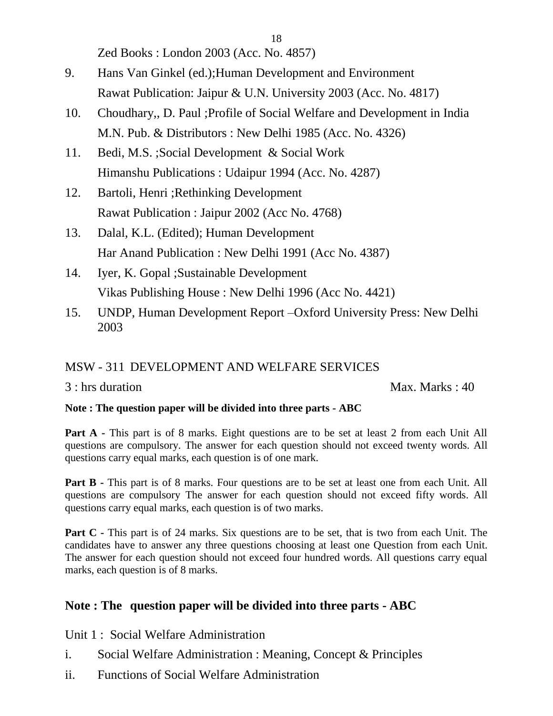Zed Books : London 2003 (Acc. No. 4857)

- 9. Hans Van Ginkel (ed.);Human Development and Environment Rawat Publication: Jaipur & U.N. University 2003 (Acc. No. 4817)
- 10. Choudhary,, D. Paul ;Profile of Social Welfare and Development in India M.N. Pub. & Distributors : New Delhi 1985 (Acc. No. 4326)

18

- 11. Bedi, M.S. ;Social Development & Social Work Himanshu Publications : Udaipur 1994 (Acc. No. 4287)
- 12. Bartoli, Henri ;Rethinking Development Rawat Publication : Jaipur 2002 (Acc No. 4768)
- 13. Dalal, K.L. (Edited); Human Development Har Anand Publication : New Delhi 1991 (Acc No. 4387)
- 14. Iyer, K. Gopal ;Sustainable Development Vikas Publishing House : New Delhi 1996 (Acc No. 4421)
- 15. UNDP, Human Development Report –Oxford University Press: New Delhi 2003

## MSW - 311 DEVELOPMENT AND WELFARE SERVICES

3 : hrs duration Max. Marks : 40

#### **Note : The question paper will be divided into three parts - ABC**

**Part A -** This part is of 8 marks. Eight questions are to be set at least 2 from each Unit All questions are compulsory. The answer for each question should not exceed twenty words. All questions carry equal marks, each question is of one mark.

**Part B** - This part is of 8 marks. Four questions are to be set at least one from each Unit. All questions are compulsory The answer for each question should not exceed fifty words. All questions carry equal marks, each question is of two marks.

**Part C** - This part is of 24 marks. Six questions are to be set, that is two from each Unit. The candidates have to answer any three questions choosing at least one Question from each Unit. The answer for each question should not exceed four hundred words. All questions carry equal marks, each question is of 8 marks.

#### **Note : The question paper will be divided into three parts - ABC**

Unit 1 : Social Welfare Administration

- i. Social Welfare Administration : Meaning, Concept & Principles
- ii. Functions of Social Welfare Administration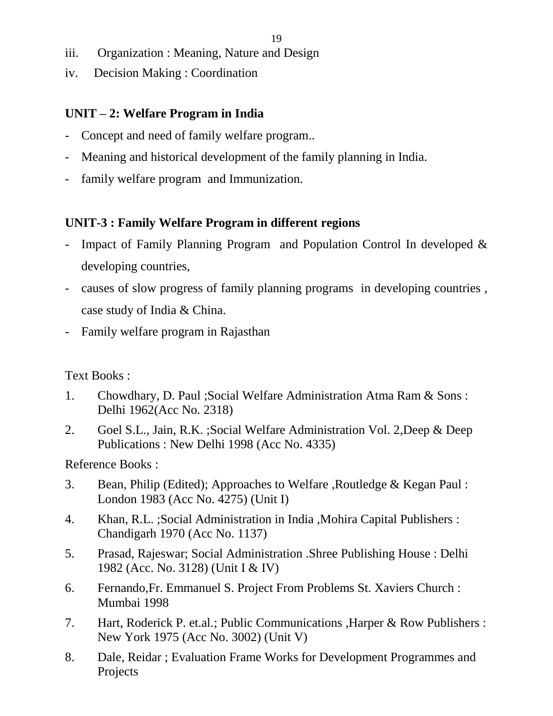- iii. Organization : Meaning, Nature and Design
- iv. Decision Making : Coordination

# **UNIT – 2: Welfare Program in India**

- Concept and need of family welfare program...
- Meaning and historical development of the family planning in India.
- family welfare program and Immunization.

# **UNIT-3 : Family Welfare Program in different regions**

- Impact of Family Planning Program and Population Control In developed  $\&$ developing countries,
- causes of slow progress of family planning programs in developing countries , case study of India & China.
- Family welfare program in Rajasthan

# Text Books :

- 1. Chowdhary, D. Paul ;Social Welfare Administration Atma Ram & Sons : Delhi 1962(Acc No. 2318)
- 2. Goel S.L., Jain, R.K. ;Social Welfare Administration Vol. 2,Deep & Deep Publications : New Delhi 1998 (Acc No. 4335)

- 3. Bean, Philip (Edited); Approaches to Welfare ,Routledge & Kegan Paul : London 1983 (Acc No. 4275) (Unit I)
- 4. Khan, R.L. ;Social Administration in India ,Mohira Capital Publishers : Chandigarh 1970 (Acc No. 1137)
- 5. Prasad, Rajeswar; Social Administration .Shree Publishing House : Delhi 1982 (Acc. No. 3128) (Unit I & IV)
- 6. Fernando,Fr. Emmanuel S. Project From Problems St. Xaviers Church : Mumbai 1998
- 7. Hart, Roderick P. et.al.; Public Communications ,Harper & Row Publishers : New York 1975 (Acc No. 3002) (Unit V)
- 8. Dale, Reidar ; Evaluation Frame Works for Development Programmes and Projects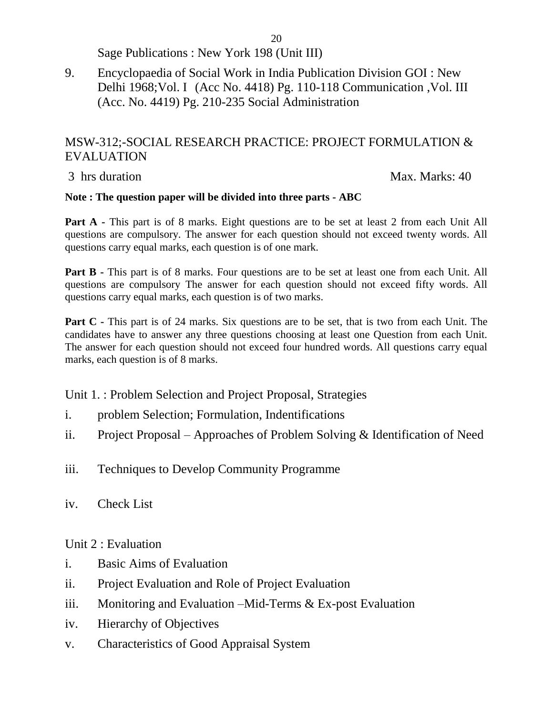Sage Publications : New York 198 (Unit III)

9. Encyclopaedia of Social Work in India Publication Division GOI : New Delhi 1968;Vol. I (Acc No. 4418) Pg. 110-118 Communication ,Vol. III (Acc. No. 4419) Pg. 210-235 Social Administration

#### MSW-312;-SOCIAL RESEARCH PRACTICE: PROJECT FORMULATION & EVALUATION

3 hrs duration Max. Marks: 40

#### **Note : The question paper will be divided into three parts - ABC**

**Part A -** This part is of 8 marks. Eight questions are to be set at least 2 from each Unit All questions are compulsory. The answer for each question should not exceed twenty words. All questions carry equal marks, each question is of one mark.

**Part B** - This part is of 8 marks. Four questions are to be set at least one from each Unit. All questions are compulsory The answer for each question should not exceed fifty words. All questions carry equal marks, each question is of two marks.

**Part C** - This part is of 24 marks. Six questions are to be set, that is two from each Unit. The candidates have to answer any three questions choosing at least one Question from each Unit. The answer for each question should not exceed four hundred words. All questions carry equal marks, each question is of 8 marks.

Unit 1. : Problem Selection and Project Proposal, Strategies

- i. problem Selection; Formulation, Indentifications
- ii. Project Proposal Approaches of Problem Solving & Identification of Need
- iii. Techniques to Develop Community Programme
- iv. Check List

Unit 2 : Evaluation

- i. Basic Aims of Evaluation
- ii. Project Evaluation and Role of Project Evaluation
- iii. Monitoring and Evaluation –Mid-Terms & Ex-post Evaluation
- iv. Hierarchy of Objectives
- v. Characteristics of Good Appraisal System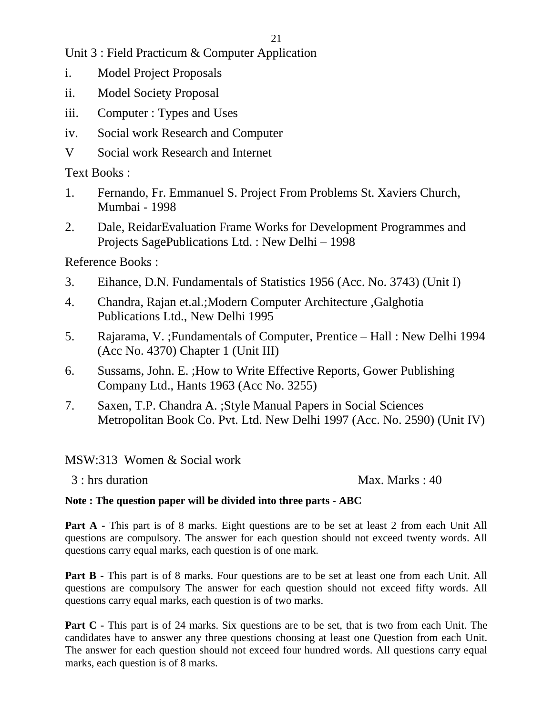Unit 3 : Field Practicum & Computer Application

- i. Model Project Proposals
- ii. Model Society Proposal
- iii. Computer : Types and Uses
- iv. Social work Research and Computer
- V Social work Research and Internet

Text Books :

- 1. Fernando, Fr. Emmanuel S. Project From Problems St. Xaviers Church, Mumbai - 1998
- 2. Dale, ReidarEvaluation Frame Works for Development Programmes and Projects SagePublications Ltd. : New Delhi – 1998

Reference Books :

- 3. Eihance, D.N. Fundamentals of Statistics 1956 (Acc. No. 3743) (Unit I)
- 4. Chandra, Rajan et.al.;Modern Computer Architecture ,Galghotia Publications Ltd., New Delhi 1995
- 5. Rajarama, V. ;Fundamentals of Computer, Prentice Hall : New Delhi 1994 (Acc No. 4370) Chapter 1 (Unit III)
- 6. Sussams, John. E. ;How to Write Effective Reports, Gower Publishing Company Ltd., Hants 1963 (Acc No. 3255)
- 7. Saxen, T.P. Chandra A. ;Style Manual Papers in Social Sciences Metropolitan Book Co. Pvt. Ltd. New Delhi 1997 (Acc. No. 2590) (Unit IV)

MSW:313 Women & Social work

 $3: \text{hrs duration}$  Max. Marks : 40

#### **Note : The question paper will be divided into three parts - ABC**

**Part A -** This part is of 8 marks. Eight questions are to be set at least 2 from each Unit All questions are compulsory. The answer for each question should not exceed twenty words. All questions carry equal marks, each question is of one mark.

**Part B -** This part is of 8 marks. Four questions are to be set at least one from each Unit. All questions are compulsory The answer for each question should not exceed fifty words. All questions carry equal marks, each question is of two marks.

**Part C** - This part is of 24 marks. Six questions are to be set, that is two from each Unit. The candidates have to answer any three questions choosing at least one Question from each Unit. The answer for each question should not exceed four hundred words. All questions carry equal marks, each question is of 8 marks.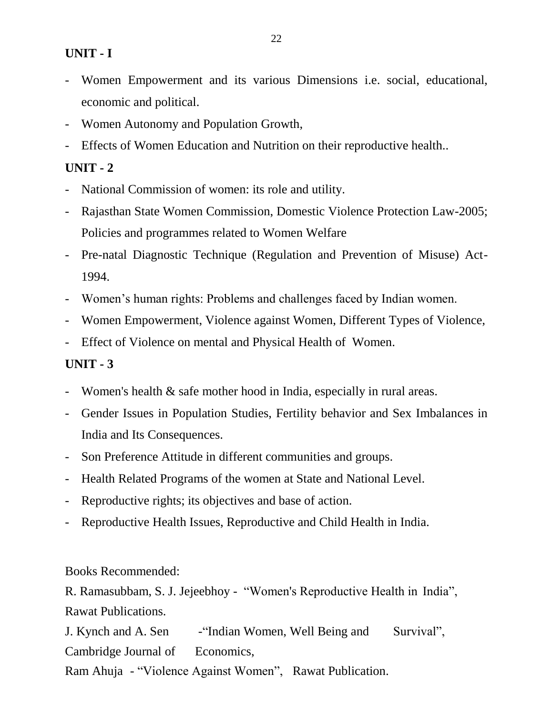#### **UNIT - I**

- Women Empowerment and its various Dimensions i.e. social, educational, economic and political.
- Women Autonomy and Population Growth,
- Effects of Women Education and Nutrition on their reproductive health...

#### **UNIT - 2**

- National Commission of women: its role and utility.
- Rajasthan State Women Commission, Domestic Violence Protection Law-2005; Policies and programmes related to Women Welfare
- Pre-natal Diagnostic Technique (Regulation and Prevention of Misuse) Act-1994.
- Women's human rights: Problems and challenges faced by Indian women.
- Women Empowerment, Violence against Women, Different Types of Violence,
- Effect of Violence on mental and Physical Health of Women.

## **UNIT - 3**

- Women's health & safe mother hood in India, especially in rural areas.
- Gender Issues in Population Studies, Fertility behavior and Sex Imbalances in India and Its Consequences.
- Son Preference Attitude in different communities and groups.
- Health Related Programs of the women at State and National Level.
- Reproductive rights; its objectives and base of action.
- Reproductive Health Issues, Reproductive and Child Health in India.

Books Recommended:

R. Ramasubbam, S. J. Jejeebhoy - "Women's Reproductive Health in India", Rawat Publications.

J. Kynch and A. Sen - "Indian Women, Well Being and Survival", Cambridge Journal of Economics,

Ram Ahuja - "Violence Against Women", Rawat Publication.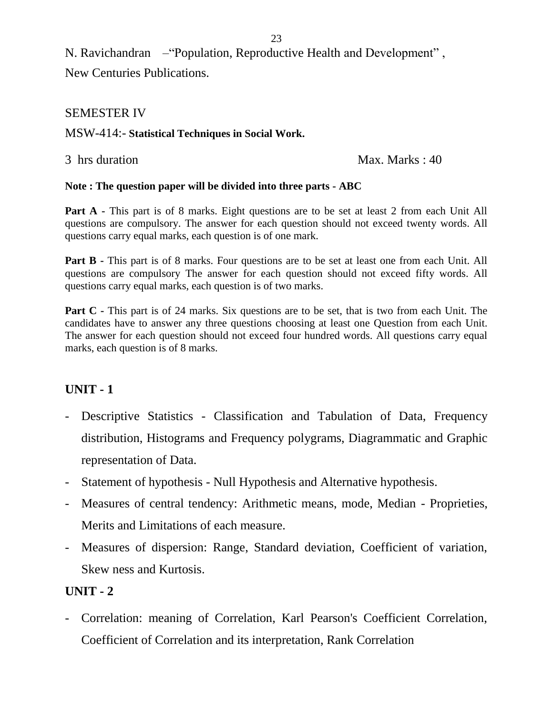N. Ravichandran – "Population, Reproductive Health and Development", New Centuries Publications.

#### SEMESTER IV

#### MSW-414:- **Statistical Techniques in Social Work.**

3 hrs duration Max. Marks : 40

#### **Note : The question paper will be divided into three parts - ABC**

**Part A -** This part is of 8 marks. Eight questions are to be set at least 2 from each Unit All questions are compulsory. The answer for each question should not exceed twenty words. All questions carry equal marks, each question is of one mark.

**Part B** - This part is of 8 marks. Four questions are to be set at least one from each Unit. All questions are compulsory The answer for each question should not exceed fifty words. All questions carry equal marks, each question is of two marks.

**Part C** - This part is of 24 marks. Six questions are to be set, that is two from each Unit. The candidates have to answer any three questions choosing at least one Question from each Unit. The answer for each question should not exceed four hundred words. All questions carry equal marks, each question is of 8 marks.

#### **UNIT - 1**

- Descriptive Statistics Classification and Tabulation of Data, Frequency distribution, Histograms and Frequency polygrams, Diagrammatic and Graphic representation of Data.
- Statement of hypothesis Null Hypothesis and Alternative hypothesis.
- Measures of central tendency: Arithmetic means, mode, Median Proprieties, Merits and Limitations of each measure.
- Measures of dispersion: Range, Standard deviation, Coefficient of variation, Skew ness and Kurtosis.

#### **UNIT - 2**

- Correlation: meaning of Correlation, Karl Pearson's Coefficient Correlation, Coefficient of Correlation and its interpretation, Rank Correlation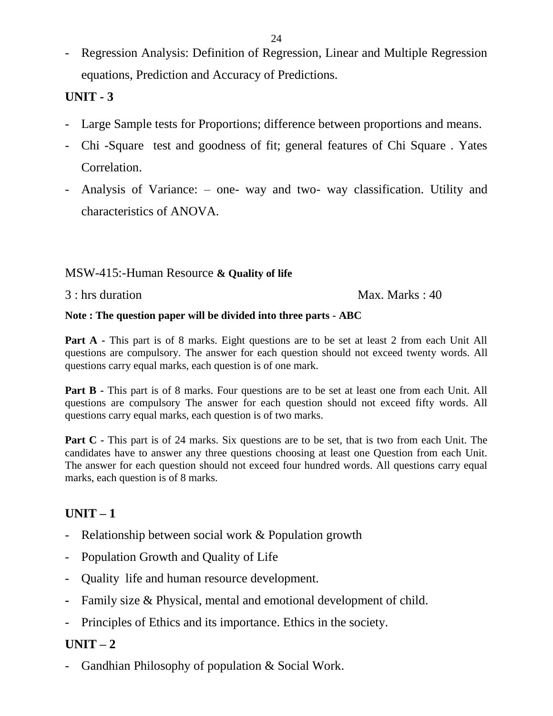Regression Analysis: Definition of Regression, Linear and Multiple Regression equations, Prediction and Accuracy of Predictions.

# **UNIT - 3**

- Large Sample tests for Proportions; difference between proportions and means.
- Chi -Square test and goodness of fit; general features of Chi Square . Yates Correlation.
- Analysis of Variance: one- way and two- way classification. Utility and characteristics of ANOVA.

#### MSW-415:-Human Resource **& Quality of life**

#### 3 : hrs duration Max. Marks : 40

#### **Note : The question paper will be divided into three parts - ABC**

**Part A -** This part is of 8 marks. Eight questions are to be set at least 2 from each Unit All questions are compulsory. The answer for each question should not exceed twenty words. All questions carry equal marks, each question is of one mark.

**Part B** - This part is of 8 marks. Four questions are to be set at least one from each Unit. All questions are compulsory The answer for each question should not exceed fifty words. All questions carry equal marks, each question is of two marks.

**Part C** - This part is of 24 marks. Six questions are to be set, that is two from each Unit. The candidates have to answer any three questions choosing at least one Question from each Unit. The answer for each question should not exceed four hundred words. All questions carry equal marks, each question is of 8 marks.

# $\textbf{UNIT} - 1$

- Relationship between social work & Population growth
- Population Growth and Quality of Life
- Quality life and human resource development.
- **-** Family size & Physical, mental and emotional development of child.
- Principles of Ethics and its importance. Ethics in the society.

## $\textbf{UNIT} - 2$

Gandhian Philosophy of population & Social Work.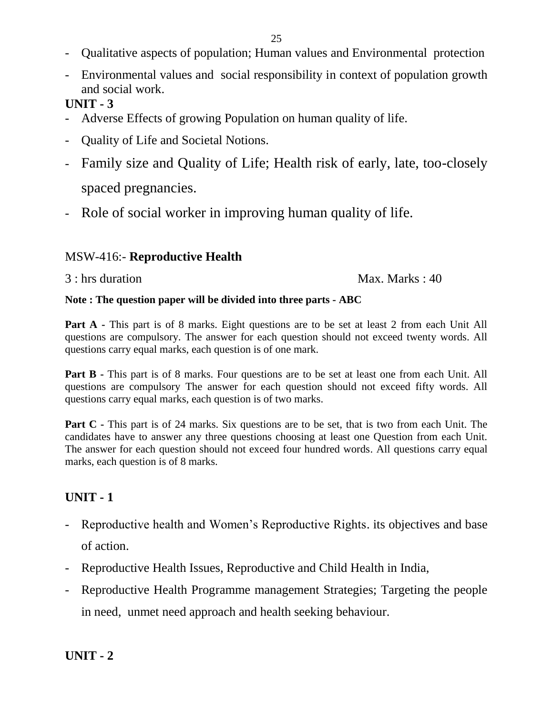- Qualitative aspects of population; Human values and Environmental protection
- Environmental values and social responsibility in context of population growth and social work.

## **UNIT - 3**

- Adverse Effects of growing Population on human quality of life.
- Quality of Life and Societal Notions.
- Family size and Quality of Life; Health risk of early, late, too-closely spaced pregnancies.
- Role of social worker in improving human quality of life.

## MSW-416:- **Reproductive Health**

3 : hrs duration Max. Marks : 40

#### **Note : The question paper will be divided into three parts - ABC**

**Part A -** This part is of 8 marks. Eight questions are to be set at least 2 from each Unit All questions are compulsory. The answer for each question should not exceed twenty words. All questions carry equal marks, each question is of one mark.

**Part B** - This part is of 8 marks. Four questions are to be set at least one from each Unit. All questions are compulsory The answer for each question should not exceed fifty words. All questions carry equal marks, each question is of two marks.

**Part C** - This part is of 24 marks. Six questions are to be set, that is two from each Unit. The candidates have to answer any three questions choosing at least one Question from each Unit. The answer for each question should not exceed four hundred words. All questions carry equal marks, each question is of 8 marks.

## **UNIT - 1**

- Reproductive health and Women's Reproductive Rights. its objectives and base of action.
- Reproductive Health Issues, Reproductive and Child Health in India,
- Reproductive Health Programme management Strategies; Targeting the people in need, unmet need approach and health seeking behaviour.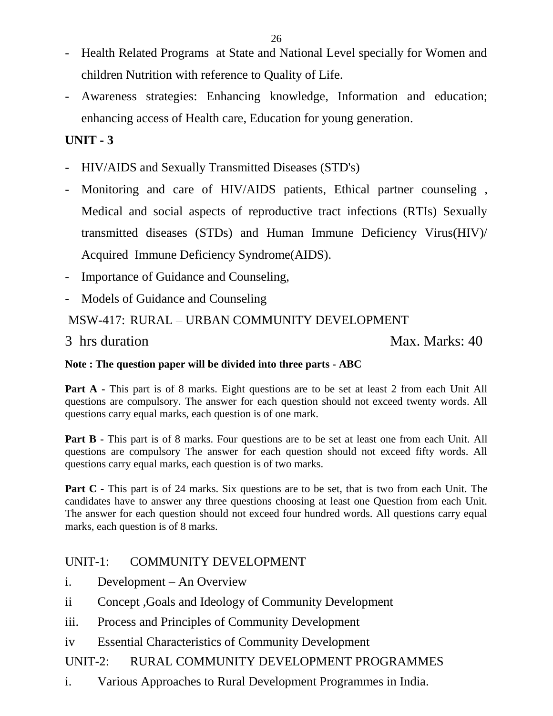- 26
- Health Related Programs at State and National Level specially for Women and children Nutrition with reference to Quality of Life.
- Awareness strategies: Enhancing knowledge, Information and education; enhancing access of Health care, Education for young generation.

# **UNIT - 3**

- HIV/AIDS and Sexually Transmitted Diseases (STD's)
- Monitoring and care of HIV/AIDS patients, Ethical partner counseling, Medical and social aspects of reproductive tract infections (RTIs) Sexually transmitted diseases (STDs) and Human Immune Deficiency Virus(HIV)/ Acquired Immune Deficiency Syndrome(AIDS).
- Importance of Guidance and Counseling,
- Models of Guidance and Counseling

## MSW-417: RURAL – URBAN COMMUNITY DEVELOPMENT

3 hrs duration Max. Marks: 40

#### **Note : The question paper will be divided into three parts - ABC**

**Part A -** This part is of 8 marks. Eight questions are to be set at least 2 from each Unit All questions are compulsory. The answer for each question should not exceed twenty words. All questions carry equal marks, each question is of one mark.

**Part B** - This part is of 8 marks. Four questions are to be set at least one from each Unit. All questions are compulsory The answer for each question should not exceed fifty words. All questions carry equal marks, each question is of two marks.

**Part C** - This part is of 24 marks. Six questions are to be set, that is two from each Unit. The candidates have to answer any three questions choosing at least one Question from each Unit. The answer for each question should not exceed four hundred words. All questions carry equal marks, each question is of 8 marks.

#### UNIT-1: COMMUNITY DEVELOPMENT

- i. Development An Overview
- ii Concept ,Goals and Ideology of Community Development
- iii. Process and Principles of Community Development
- iv Essential Characteristics of Community Development

## UNIT-2: RURAL COMMUNITY DEVELOPMENT PROGRAMMES

i. Various Approaches to Rural Development Programmes in India.